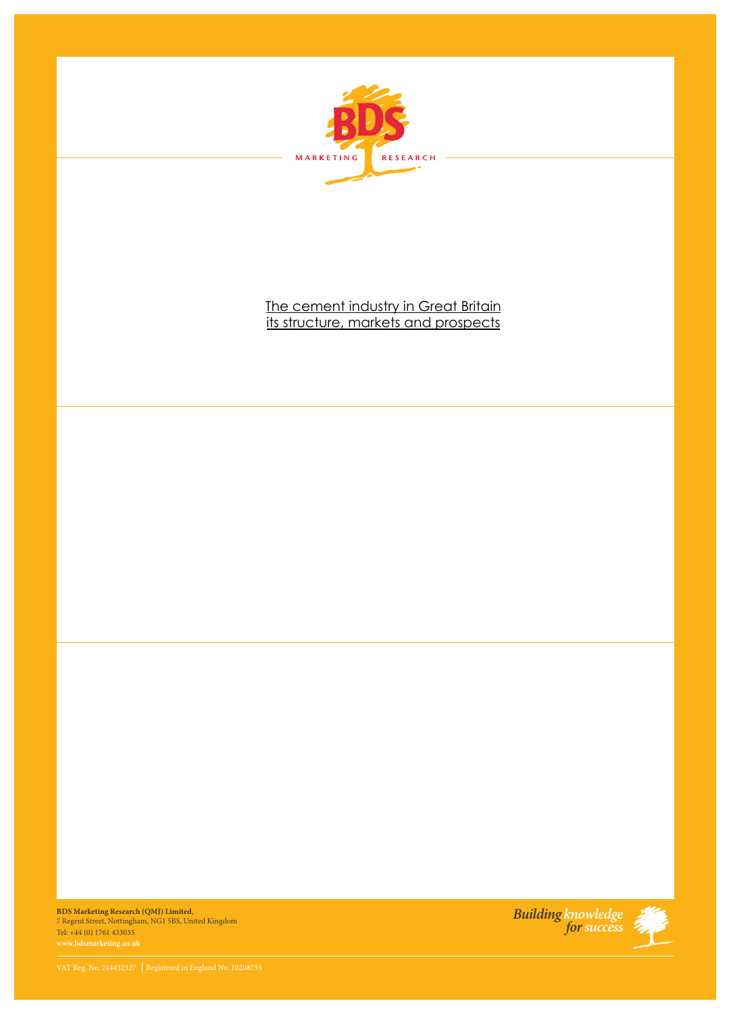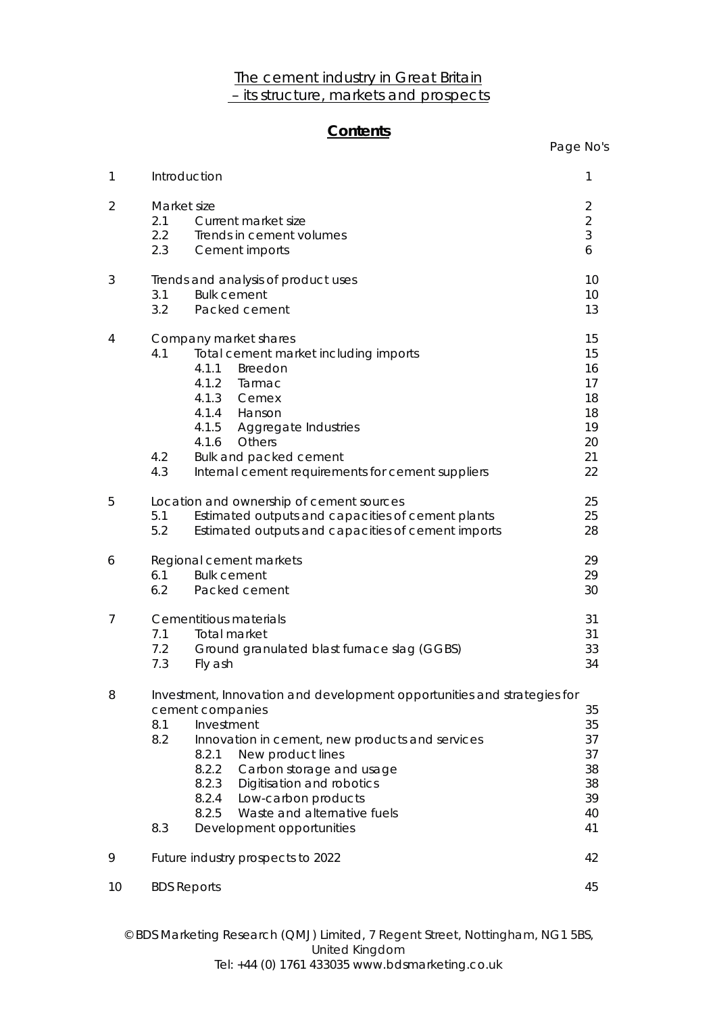## The cement industry in Great Britain – its structure, markets and prospects

## **Contents**

|                | Contents                                                                                                                                                                                                                                                                                                                                                                                        | Page No's                                                |
|----------------|-------------------------------------------------------------------------------------------------------------------------------------------------------------------------------------------------------------------------------------------------------------------------------------------------------------------------------------------------------------------------------------------------|----------------------------------------------------------|
| 1              | Introduction                                                                                                                                                                                                                                                                                                                                                                                    | 1                                                        |
| $\overline{2}$ | Market size<br>2.1<br>Current market size<br>2.2<br>Trends in cement volumes<br>2.3<br>Cement imports                                                                                                                                                                                                                                                                                           | $\overline{2}$<br>$\overline{2}$<br>3<br>6               |
| 3              | Trends and analysis of product uses<br>3.1<br><b>Bulk cement</b><br>3.2<br>Packed cement                                                                                                                                                                                                                                                                                                        | 10<br>10<br>13                                           |
| 4              | Company market shares<br>4.1<br>Total cement market including imports<br>4.1.1<br>Breedon<br>4.1.2<br>Tarmac<br>4.1.3<br>Cemex<br>4.1.4 Hanson<br>4.1.5<br><b>Aggregate Industries</b><br>4.1.6<br>Others<br>4.2<br>Bulk and packed cement<br>4.3<br>Internal cement requirements for cement suppliers                                                                                          | 15<br>15<br>16<br>17<br>18<br>18<br>19<br>20<br>21<br>22 |
| 5              | Location and ownership of cement sources<br>Estimated outputs and capacities of cement plants<br>5.1<br>5.2<br>Estimated outputs and capacities of cement imports                                                                                                                                                                                                                               | 25<br>25<br>28                                           |
| 6              | Regional cement markets<br><b>Bulk cement</b><br>6.1<br>6.2<br>Packed cement                                                                                                                                                                                                                                                                                                                    | 29<br>29<br>30                                           |
| 7              | Cementitious materials<br>7.1<br>Total market<br>7.2<br>Ground granulated blast furnace slag (GGBS)<br>7.3<br>Fly ash                                                                                                                                                                                                                                                                           | 31<br>31<br>33<br>34                                     |
| 8              | Investment, Innovation and development opportunities and strategies for<br>cement companies<br>Investment<br>8.1<br>8.2<br>Innovation in cement, new products and services<br>8.2.1<br>New product lines<br>8.2.2<br>Carbon storage and usage<br>8.2.3<br>Digitisation and robotics<br>8.2.4<br>Low-carbon products<br>8.2.5<br>Waste and alternative fuels<br>8.3<br>Development opportunities | 35<br>35<br>37<br>37<br>38<br>38<br>39<br>40<br>41       |
| 9              | Future industry prospects to 2022                                                                                                                                                                                                                                                                                                                                                               | 42                                                       |
| 10             | <b>BDS Reports</b>                                                                                                                                                                                                                                                                                                                                                                              | 45                                                       |

© BDS Marketing Research (QMJ) Limited, 7 Regent Street, Nottingham, NG1 5BS, United Kingdom Tel: +44 (0) 1761 433035 www.bdsmarketing.co.uk